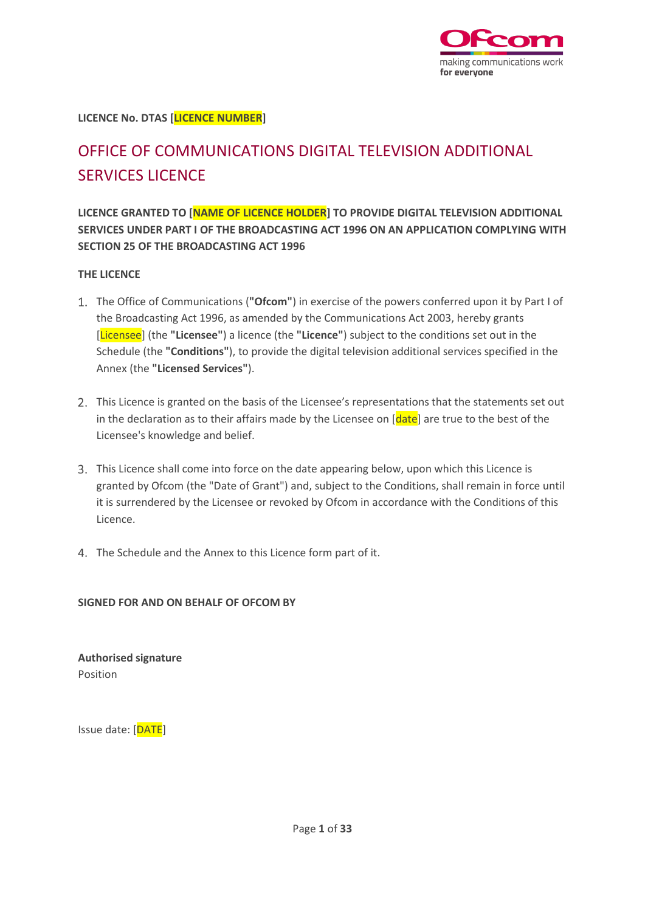

**LICENCE No. DTAS [LICENCE NUMBER]**

# OFFICE OF COMMUNICATIONS DIGITAL TELEVISION ADDITIONAL SERVICES LICENCE

**LICENCE GRANTED TO [NAME OF LICENCE HOLDER] TO PROVIDE DIGITAL TELEVISION ADDITIONAL SERVICES UNDER PART I OF THE BROADCASTING ACT 1996 ON AN APPLICATION COMPLYING WITH SECTION 25 OF THE BROADCASTING ACT 1996**

#### **THE LICENCE**

- The Office of Communications (**"Ofcom"**) in exercise of the powers conferred upon it by Part I of the Broadcasting Act 1996, as amended by the Communications Act 2003, hereby grants [Licensee] (the **"Licensee"**) a licence (the **"Licence"**) subject to the conditions set out in the Schedule (the **"Conditions"**), to provide the digital television additional services specified in the Annex (the **"Licensed Services"**).
- This Licence is granted on the basis of the Licensee's representations that the statements set out in the declaration as to their affairs made by the Licensee on [date] are true to the best of the Licensee's knowledge and belief.
- This Licence shall come into force on the date appearing below, upon which this Licence is granted by Ofcom (the "Date of Grant") and, subject to the Conditions, shall remain in force until it is surrendered by the Licensee or revoked by Ofcom in accordance with the Conditions of this Licence.
- 4. The Schedule and the Annex to this Licence form part of it.

### **SIGNED FOR AND ON BEHALF OF OFCOM BY**

**Authorised signature** Position

Issue date: [DATE]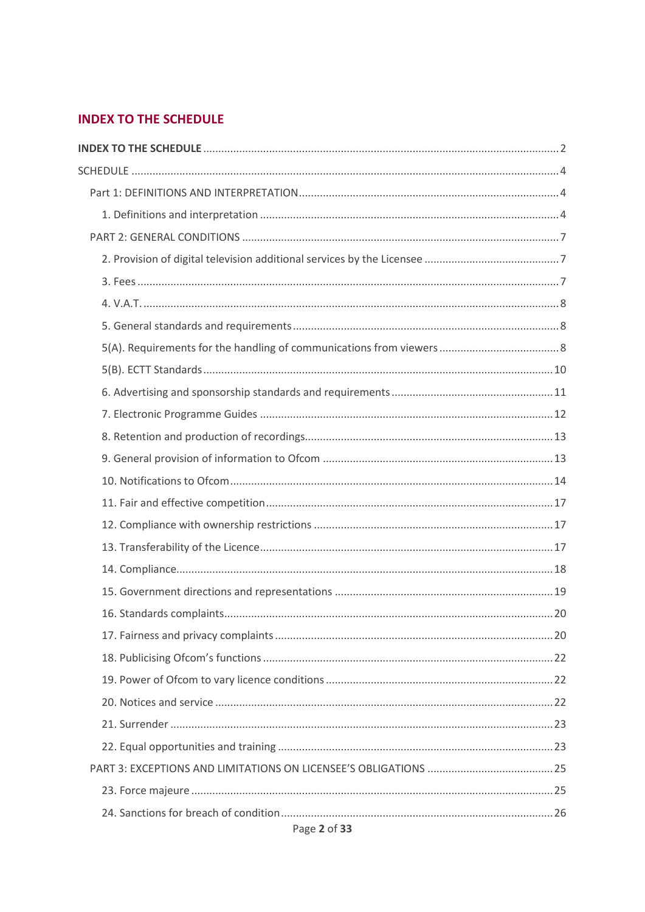# <span id="page-1-0"></span>**INDEX TO THE SCHEDULE**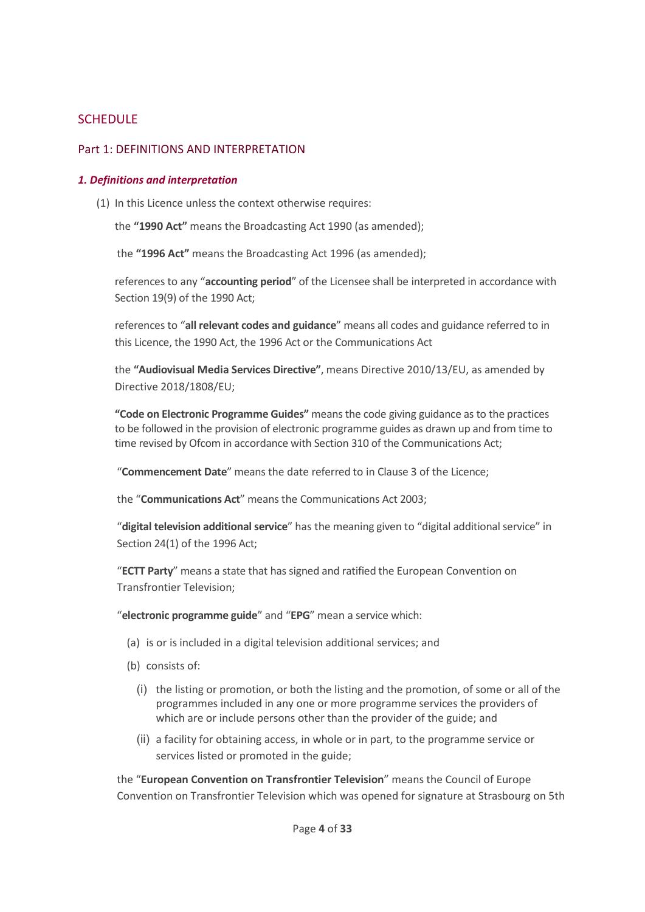# <span id="page-3-0"></span>**SCHEDULE**

### <span id="page-3-1"></span>Part 1: DEFINITIONS AND INTERPRETATION

#### <span id="page-3-2"></span>*1. Definitions and interpretation*

(1) In this Licence unless the context otherwise requires:

the **"1990 Act"** means the Broadcasting Act 1990 (as amended);

the **"1996 Act"** means the Broadcasting Act 1996 (as amended);

references to any "**accounting period**" of the Licensee shall be interpreted in accordance with Section 19(9) of the 1990 Act;

references to "**all relevant codes and guidance**" means all codes and guidance referred to in this Licence, the 1990 Act, the 1996 Act or the Communications Act

the **"Audiovisual Media Services Directive"**, means Directive 2010/13/EU, as amended by Directive 2018/1808/EU;

**"Code on Electronic Programme Guides"** means the code giving guidance as to the practices to be followed in the provision of electronic programme guides as drawn up and from time to time revised by Ofcom in accordance with Section 310 of the Communications Act;

"**Commencement Date**" means the date referred to in Clause 3 of the Licence;

the "**Communications Act**" means the Communications Act 2003;

"**digital television additional service**" has the meaning given to "digital additional service" in Section 24(1) of the 1996 Act;

"**ECTT Party**" means a state that has signed and ratified the European Convention on Transfrontier Television;

"**electronic programme guide**" and "**EPG**" mean a service which:

- (a) is or is included in a digital television additional services; and
- (b) consists of:
	- (i) the listing or promotion, or both the listing and the promotion, of some or all of the programmes included in any one or more programme services the providers of which are or include persons other than the provider of the guide; and
	- (ii) a facility for obtaining access, in whole or in part, to the programme service or services listed or promoted in the guide;

the "**European Convention on Transfrontier Television**" means the Council of Europe Convention on Transfrontier Television which was opened for signature at Strasbourg on 5th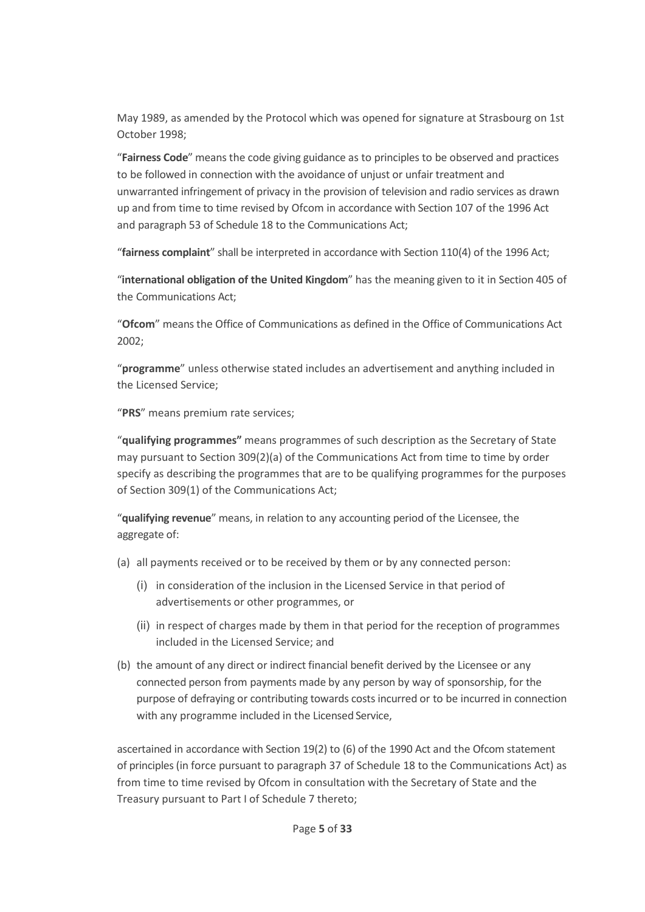May 1989, as amended by the Protocol which was opened for signature at Strasbourg on 1st October 1998;

"**Fairness Code**" means the code giving guidance as to principles to be observed and practices to be followed in connection with the avoidance of unjust or unfair treatment and unwarranted infringement of privacy in the provision of television and radio services as drawn up and from time to time revised by Ofcom in accordance with Section 107 of the 1996 Act and paragraph 53 of Schedule 18 to the Communications Act;

"**fairness complaint**" shall be interpreted in accordance with Section 110(4) of the 1996 Act;

"**international obligation of the United Kingdom**" has the meaning given to it in Section 405 of the Communications Act;

"**Ofcom**" means the Office of Communications as defined in the Office of Communications Act 2002;

"**programme**" unless otherwise stated includes an advertisement and anything included in the Licensed Service;

"**PRS**" means premium rate services;

"**qualifying programmes"** means programmes of such description as the Secretary of State may pursuant to Section 309(2)(a) of the Communications Act from time to time by order specify as describing the programmes that are to be qualifying programmes for the purposes of Section 309(1) of the Communications Act;

"**qualifying revenue**" means, in relation to any accounting period of the Licensee, the aggregate of:

- (a) all payments received or to be received by them or by any connected person:
	- (i) in consideration of the inclusion in the Licensed Service in that period of advertisements or other programmes, or
	- (ii) in respect of charges made by them in that period for the reception of programmes included in the Licensed Service; and
- (b) the amount of any direct or indirect financial benefit derived by the Licensee or any connected person from payments made by any person by way of sponsorship, for the purpose of defraying or contributing towards costs incurred or to be incurred in connection with any programme included in the Licensed Service,

ascertained in accordance with Section 19(2) to (6) of the 1990 Act and the Ofcom statement of principles (in force pursuant to paragraph 37 of Schedule 18 to the Communications Act) as from time to time revised by Ofcom in consultation with the Secretary of State and the Treasury pursuant to Part I of Schedule 7 thereto;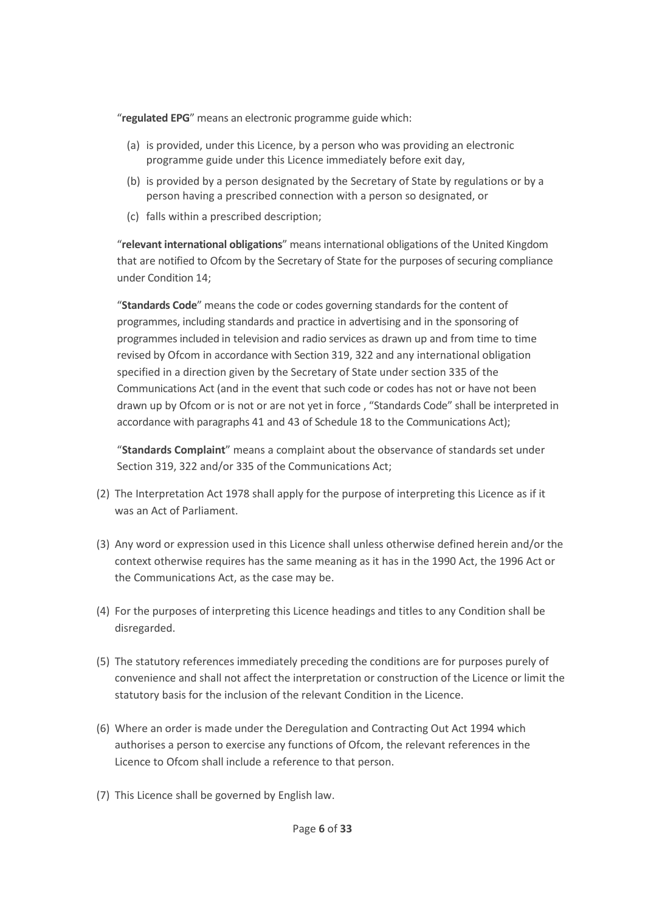"**regulated EPG**" means an electronic programme guide which:

- (a) is provided, under this Licence, by a person who was providing an electronic programme guide under this Licence immediately before exit day,
- (b) is provided by a person designated by the Secretary of State by regulations or by a person having a prescribed connection with a person so designated, or
- (c) falls within a prescribed description;

"**relevant international obligations**" means international obligations of the United Kingdom that are notified to Ofcom by the Secretary of State for the purposes of securing compliance under Condition 14;

"**Standards Code**" means the code or codes governing standards for the content of programmes, including standards and practice in advertising and in the sponsoring of programmes included in television and radio services as drawn up and from time to time revised by Ofcom in accordance with Section 319, 322 and any international obligation specified in a direction given by the Secretary of State under section 335 of the Communications Act (and in the event that such code or codes has not or have not been drawn up by Ofcom or is not or are not yet in force , "Standards Code" shall be interpreted in accordance with paragraphs 41 and 43 of Schedule 18 to the Communications Act);

"**Standards Complaint**" means a complaint about the observance of standards set under Section 319, 322 and/or 335 of the Communications Act;

- (2) The Interpretation Act 1978 shall apply for the purpose of interpreting this Licence as if it was an Act of Parliament.
- (3) Any word or expression used in this Licence shall unless otherwise defined herein and/or the context otherwise requires has the same meaning as it has in the 1990 Act, the 1996 Act or the Communications Act, as the case may be.
- (4) For the purposes of interpreting this Licence headings and titles to any Condition shall be disregarded.
- (5) The statutory references immediately preceding the conditions are for purposes purely of convenience and shall not affect the interpretation or construction of the Licence or limit the statutory basis for the inclusion of the relevant Condition in the Licence.
- (6) Where an order is made under the Deregulation and Contracting Out Act 1994 which authorises a person to exercise any functions of Ofcom, the relevant references in the Licence to Ofcom shall include a reference to that person.
- (7) This Licence shall be governed by English law.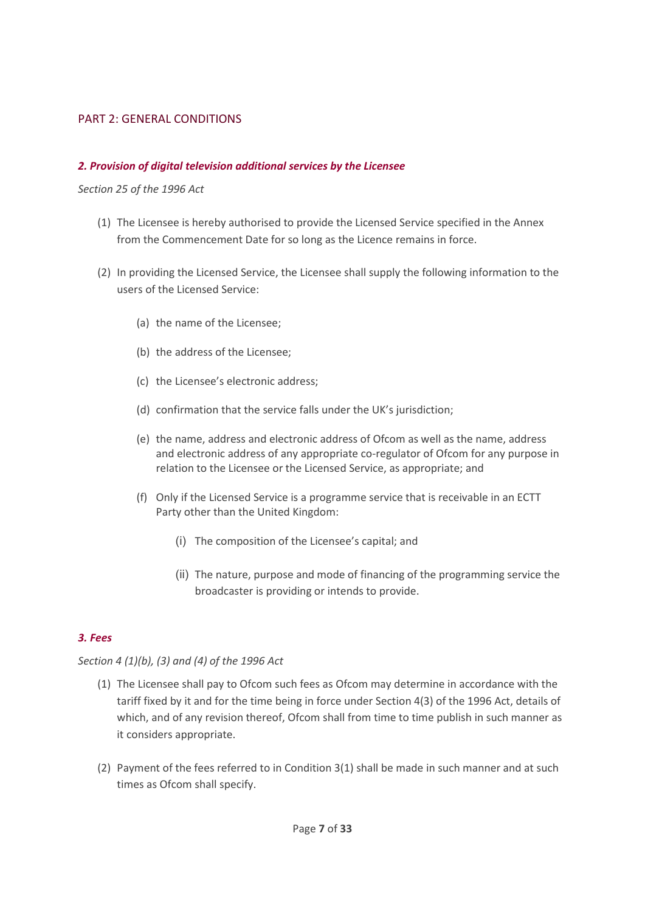### <span id="page-6-0"></span>PART 2: GENERAL CONDITIONS

#### <span id="page-6-1"></span>*2. Provision of digital television additional services by the Licensee*

*Section 25 of the 1996 Act*

- (1) The Licensee is hereby authorised to provide the Licensed Service specified in the Annex from the Commencement Date for so long as the Licence remains in force.
- (2) In providing the Licensed Service, the Licensee shall supply the following information to the users of the Licensed Service:
	- (a) the name of the Licensee;
	- (b) the address of the Licensee;
	- (c) the Licensee's electronic address;
	- (d) confirmation that the service falls under the UK's jurisdiction;
	- (e) the name, address and electronic address of Ofcom as well as the name, address and electronic address of any appropriate co-regulator of Ofcom for any purpose in relation to the Licensee or the Licensed Service, as appropriate; and
	- (f) Only if the Licensed Service is a programme service that is receivable in an ECTT Party other than the United Kingdom:
		- (i) The composition of the Licensee's capital; and
		- (ii) The nature, purpose and mode of financing of the programming service the broadcaster is providing or intends to provide.

### <span id="page-6-2"></span>*3. Fees*

### *Section 4 (1)(b), (3) and (4) of the 1996 Act*

- (1) The Licensee shall pay to Ofcom such fees as Ofcom may determine in accordance with the tariff fixed by it and for the time being in force under Section 4(3) of the 1996 Act, details of which, and of any revision thereof, Ofcom shall from time to time publish in such manner as it considers appropriate.
- (2) Payment of the fees referred to in Condition 3(1) shall be made in such manner and at such times as Ofcom shall specify.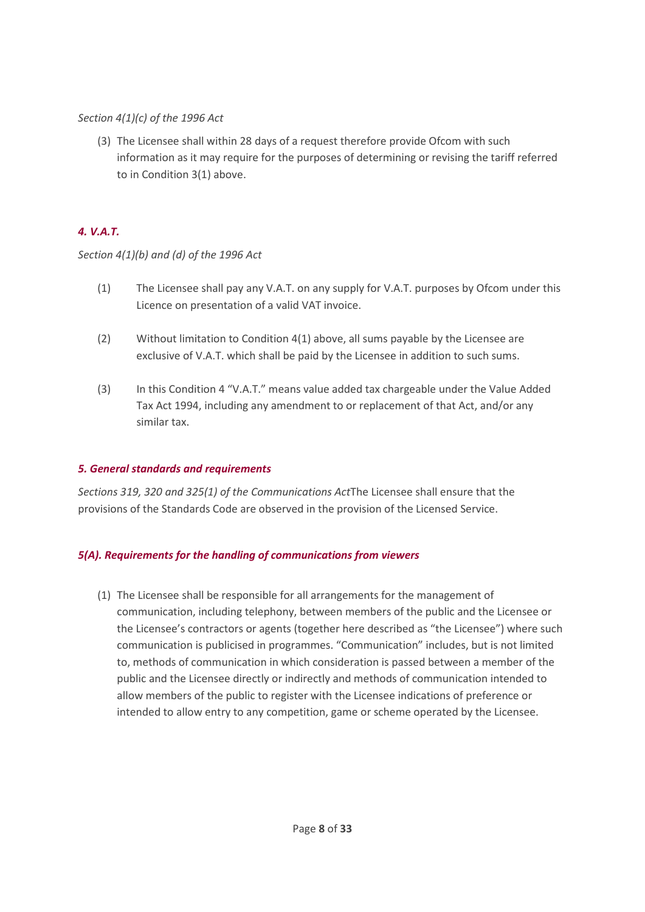# *Section 4(1)(c) of the 1996 Act*

(3) The Licensee shall within 28 days of a request therefore provide Ofcom with such information as it may require for the purposes of determining or revising the tariff referred to in Condition 3(1) above.

# <span id="page-7-0"></span>*4. V.A.T.*

# *Section 4(1)(b) and (d) of the 1996 Act*

- (1) The Licensee shall pay any V.A.T. on any supply for V.A.T. purposes by Ofcom under this Licence on presentation of a valid VAT invoice.
- (2) Without limitation to Condition 4(1) above, all sums payable by the Licensee are exclusive of V.A.T. which shall be paid by the Licensee in addition to such sums.
- (3) In this Condition 4 "V.A.T." means value added tax chargeable under the Value Added Tax Act 1994, including any amendment to or replacement of that Act, and/or any similar tax.

# <span id="page-7-1"></span>*5. General standards and requirements*

*Sections 319, 320 and 325(1) of the Communications Act*The Licensee shall ensure that the provisions of the Standards Code are observed in the provision of the Licensed Service.

# <span id="page-7-2"></span>*5(A). Requirements for the handling of communications from viewers*

(1) The Licensee shall be responsible for all arrangements for the management of communication, including telephony, between members of the public and the Licensee or the Licensee's contractors or agents (together here described as "the Licensee") where such communication is publicised in programmes. "Communication" includes, but is not limited to, methods of communication in which consideration is passed between a member of the public and the Licensee directly or indirectly and methods of communication intended to allow members of the public to register with the Licensee indications of preference or intended to allow entry to any competition, game or scheme operated by the Licensee.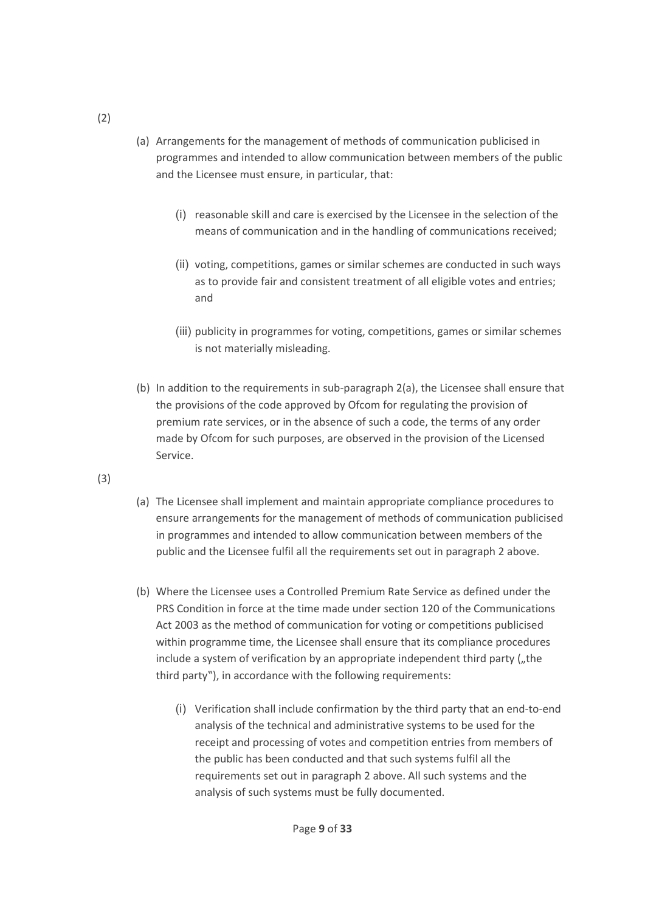- (a) Arrangements for the management of methods of communication publicised in programmes and intended to allow communication between members of the public and the Licensee must ensure, in particular, that:
	- (i) reasonable skill and care is exercised by the Licensee in the selection of the means of communication and in the handling of communications received;
	- (ii) voting, competitions, games or similar schemes are conducted in such ways as to provide fair and consistent treatment of all eligible votes and entries; and
	- (iii) publicity in programmes for voting, competitions, games or similar schemes is not materially misleading.
- (b) In addition to the requirements in sub-paragraph 2(a), the Licensee shall ensure that the provisions of the code approved by Ofcom for regulating the provision of premium rate services, or in the absence of such a code, the terms of any order made by Ofcom for such purposes, are observed in the provision of the Licensed Service.
- (3)
- (a) The Licensee shall implement and maintain appropriate compliance procedures to ensure arrangements for the management of methods of communication publicised in programmes and intended to allow communication between members of the public and the Licensee fulfil all the requirements set out in paragraph 2 above.
- (b) Where the Licensee uses a Controlled Premium Rate Service as defined under the PRS Condition in force at the time made under section 120 of the Communications Act 2003 as the method of communication for voting or competitions publicised within programme time, the Licensee shall ensure that its compliance procedures include a system of verification by an appropriate independent third party ("the third party"), in accordance with the following requirements:
	- (i) Verification shall include confirmation by the third party that an end-to-end analysis of the technical and administrative systems to be used for the receipt and processing of votes and competition entries from members of the public has been conducted and that such systems fulfil all the requirements set out in paragraph 2 above. All such systems and the analysis of such systems must be fully documented.

(2)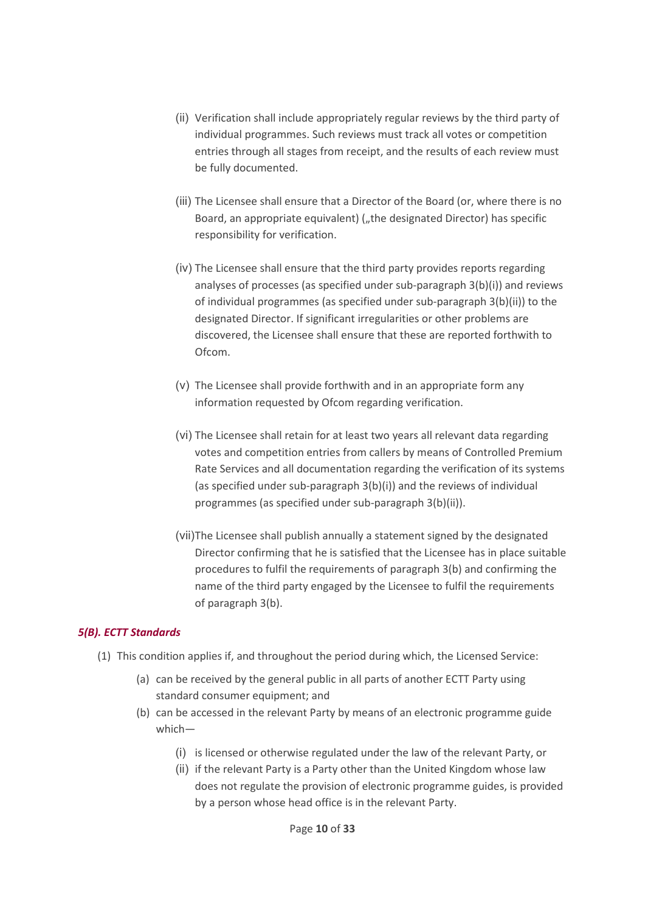- (ii) Verification shall include appropriately regular reviews by the third party of individual programmes. Such reviews must track all votes or competition entries through all stages from receipt, and the results of each review must be fully documented.
- (iii) The Licensee shall ensure that a Director of the Board (or, where there is no Board, an appropriate equivalent) ("the designated Director) has specific responsibility for verification.
- (iv) The Licensee shall ensure that the third party provides reports regarding analyses of processes (as specified under sub-paragraph 3(b)(i)) and reviews of individual programmes (as specified under sub-paragraph 3(b)(ii)) to the designated Director. If significant irregularities or other problems are discovered, the Licensee shall ensure that these are reported forthwith to Ofcom.
- (v) The Licensee shall provide forthwith and in an appropriate form any information requested by Ofcom regarding verification.
- (vi) The Licensee shall retain for at least two years all relevant data regarding votes and competition entries from callers by means of Controlled Premium Rate Services and all documentation regarding the verification of its systems (as specified under sub-paragraph 3(b)(i)) and the reviews of individual programmes (as specified under sub-paragraph 3(b)(ii)).
- (vii)The Licensee shall publish annually a statement signed by the designated Director confirming that he is satisfied that the Licensee has in place suitable procedures to fulfil the requirements of paragraph 3(b) and confirming the name of the third party engaged by the Licensee to fulfil the requirements of paragraph 3(b).

### <span id="page-9-0"></span>*5(B). ECTT Standards*

- (1) This condition applies if, and throughout the period during which, the Licensed Service:
	- (a) can be received by the general public in all parts of another ECTT Party using standard consumer equipment; and
	- (b) can be accessed in the relevant Party by means of an electronic programme guide which—
		- (i) is licensed or otherwise regulated under the law of the relevant Party, or
		- (ii) if the relevant Party is a Party other than the United Kingdom whose law does not regulate the provision of electronic programme guides, is provided by a person whose head office is in the relevant Party.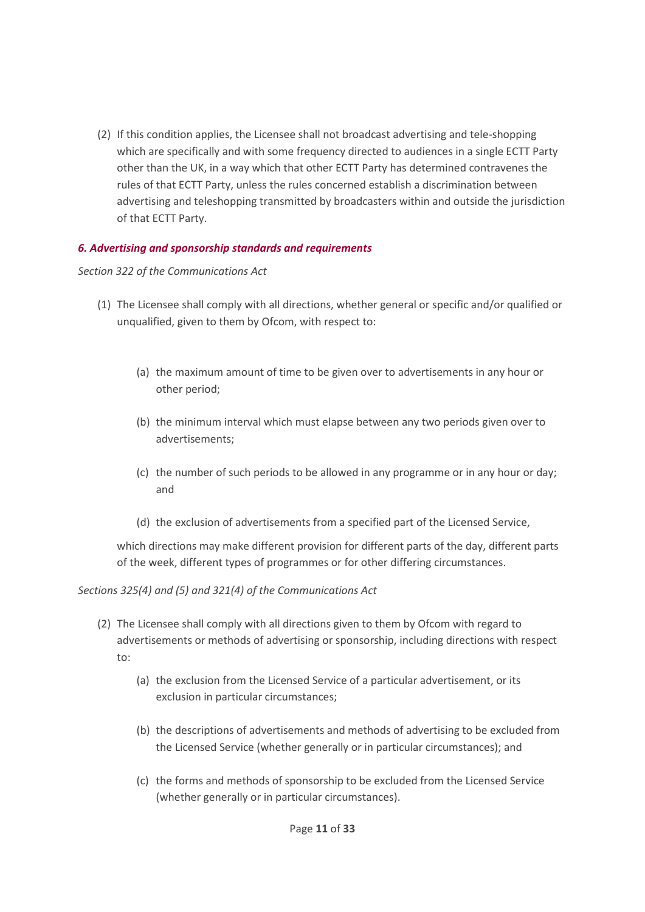(2) If this condition applies, the Licensee shall not broadcast advertising and tele-shopping which are specifically and with some frequency directed to audiences in a single ECTT Party other than the UK, in a way which that other ECTT Party has determined contravenes the rules of that ECTT Party, unless the rules concerned establish a discrimination between advertising and teleshopping transmitted by broadcasters within and outside the jurisdiction of that ECTT Party.

## <span id="page-10-0"></span>*6. Advertising and sponsorship standards and requirements*

### *Section 322 of the Communications Act*

- (1) The Licensee shall comply with all directions, whether general or specific and/or qualified or unqualified, given to them by Ofcom, with respect to:
	- (a) the maximum amount of time to be given over to advertisements in any hour or other period;
	- (b) the minimum interval which must elapse between any two periods given over to advertisements;
	- (c) the number of such periods to be allowed in any programme or in any hour or day; and
	- (d) the exclusion of advertisements from a specified part of the Licensed Service,

which directions may make different provision for different parts of the day, different parts of the week, different types of programmes or for other differing circumstances.

### *Sections 325(4) and (5) and 321(4) of the Communications Act*

- (2) The Licensee shall comply with all directions given to them by Ofcom with regard to advertisements or methods of advertising or sponsorship, including directions with respect to:
	- (a) the exclusion from the Licensed Service of a particular advertisement, or its exclusion in particular circumstances;
	- (b) the descriptions of advertisements and methods of advertising to be excluded from the Licensed Service (whether generally or in particular circumstances); and
	- (c) the forms and methods of sponsorship to be excluded from the Licensed Service (whether generally or in particular circumstances).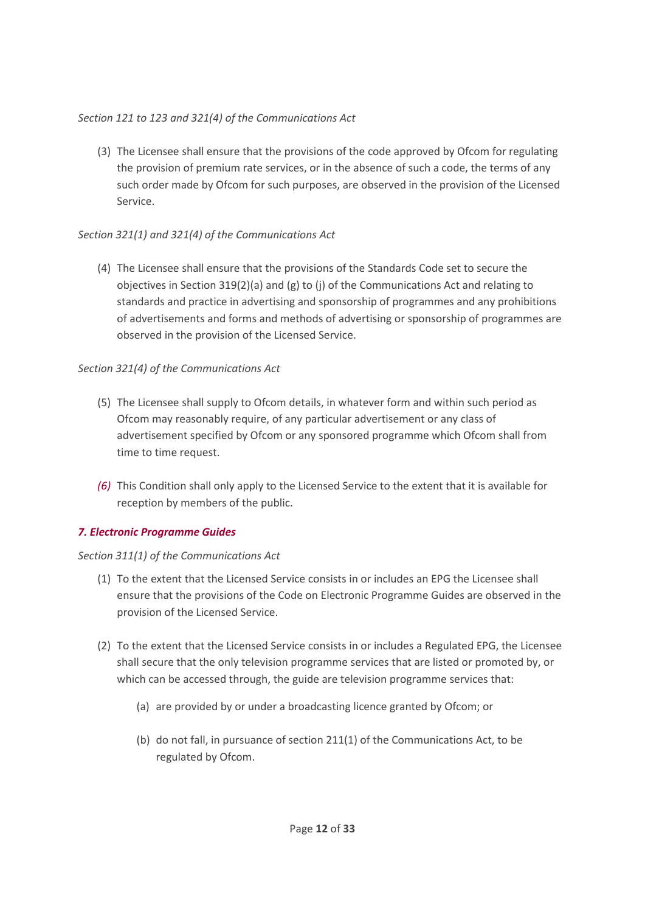# *Section 121 to 123 and 321(4) of the Communications Act*

(3) The Licensee shall ensure that the provisions of the code approved by Ofcom for regulating the provision of premium rate services, or in the absence of such a code, the terms of any such order made by Ofcom for such purposes, are observed in the provision of the Licensed Service.

# *Section 321(1) and 321(4) of the Communications Act*

(4) The Licensee shall ensure that the provisions of the Standards Code set to secure the objectives in Section 319(2)(a) and (g) to (j) of the Communications Act and relating to standards and practice in advertising and sponsorship of programmes and any prohibitions of advertisements and forms and methods of advertising or sponsorship of programmes are observed in the provision of the Licensed Service.

## *Section 321(4) of the Communications Act*

- (5) The Licensee shall supply to Ofcom details, in whatever form and within such period as Ofcom may reasonably require, of any particular advertisement or any class of advertisement specified by Ofcom or any sponsored programme which Ofcom shall from time to time request.
- *(6)* This Condition shall only apply to the Licensed Service to the extent that it is available for reception by members of the public.

# <span id="page-11-0"></span>*7. Electronic Programme Guides*

### *Section 311(1) of the Communications Act*

- (1) To the extent that the Licensed Service consists in or includes an EPG the Licensee shall ensure that the provisions of the Code on Electronic Programme Guides are observed in the provision of the Licensed Service.
- (2) To the extent that the Licensed Service consists in or includes a Regulated EPG, the Licensee shall secure that the only television programme services that are listed or promoted by, or which can be accessed through, the guide are television programme services that:
	- (a) are provided by or under a broadcasting licence granted by Ofcom; or
	- (b) do not fall, in pursuance of section 211(1) of the Communications Act, to be regulated by Ofcom.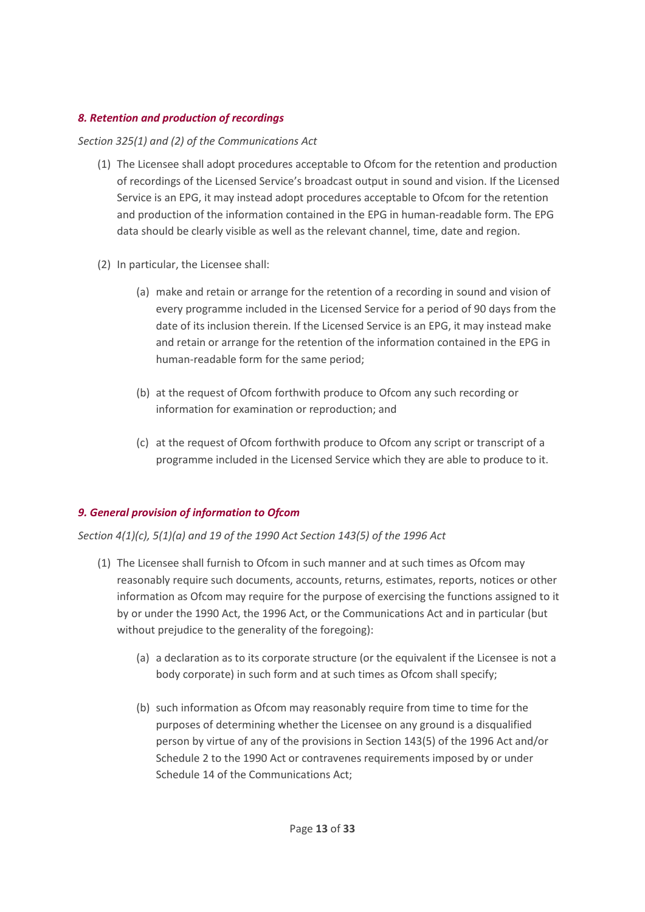# <span id="page-12-0"></span>*8. Retention and production of recordings*

# *Section 325(1) and (2) of the Communications Act*

- (1) The Licensee shall adopt procedures acceptable to Ofcom for the retention and production of recordings of the Licensed Service's broadcast output in sound and vision. If the Licensed Service is an EPG, it may instead adopt procedures acceptable to Ofcom for the retention and production of the information contained in the EPG in human-readable form. The EPG data should be clearly visible as well as the relevant channel, time, date and region.
- (2) In particular, the Licensee shall:
	- (a) make and retain or arrange for the retention of a recording in sound and vision of every programme included in the Licensed Service for a period of 90 days from the date of its inclusion therein. If the Licensed Service is an EPG, it may instead make and retain or arrange for the retention of the information contained in the EPG in human-readable form for the same period;
	- (b) at the request of Ofcom forthwith produce to Ofcom any such recording or information for examination or reproduction; and
	- (c) at the request of Ofcom forthwith produce to Ofcom any script or transcript of a programme included in the Licensed Service which they are able to produce to it.

# <span id="page-12-1"></span>*9. General provision of information to Ofcom*

*Section 4(1)(c), 5(1)(a) and 19 of the 1990 Act Section 143(5) of the 1996 Act* 

- (1) The Licensee shall furnish to Ofcom in such manner and at such times as Ofcom may reasonably require such documents, accounts, returns, estimates, reports, notices or other information as Ofcom may require for the purpose of exercising the functions assigned to it by or under the 1990 Act, the 1996 Act, or the Communications Act and in particular (but without prejudice to the generality of the foregoing):
	- (a) a declaration as to its corporate structure (or the equivalent if the Licensee is not a body corporate) in such form and at such times as Ofcom shall specify;
	- (b) such information as Ofcom may reasonably require from time to time for the purposes of determining whether the Licensee on any ground is a disqualified person by virtue of any of the provisions in Section 143(5) of the 1996 Act and/or Schedule 2 to the 1990 Act or contravenes requirements imposed by or under Schedule 14 of the Communications Act;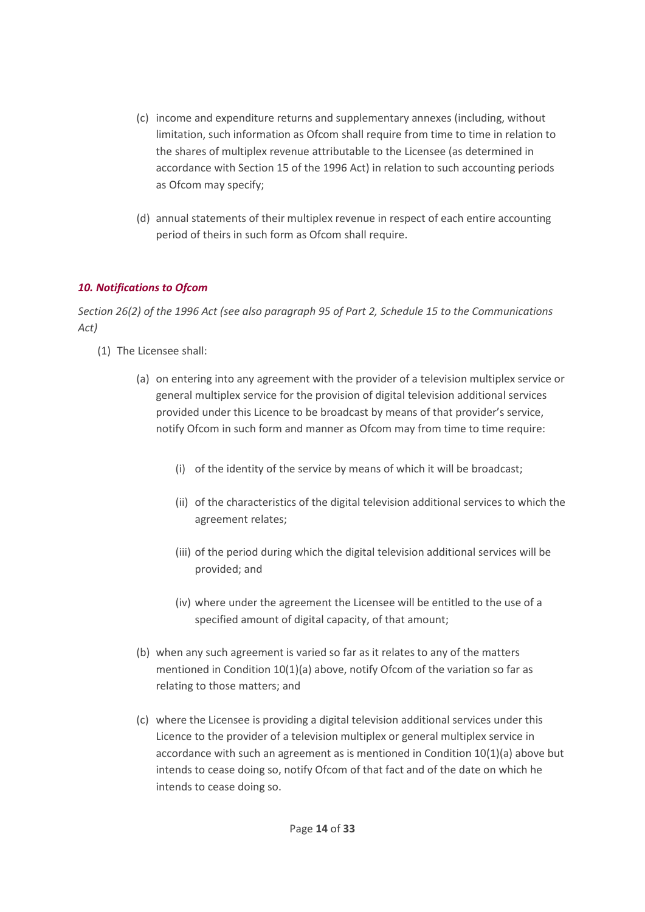- (c) income and expenditure returns and supplementary annexes (including, without limitation, such information as Ofcom shall require from time to time in relation to the shares of multiplex revenue attributable to the Licensee (as determined in accordance with Section 15 of the 1996 Act) in relation to such accounting periods as Ofcom may specify;
- (d) annual statements of their multiplex revenue in respect of each entire accounting period of theirs in such form as Ofcom shall require.

# <span id="page-13-0"></span>*10. Notifications to Ofcom*

*Section 26(2) of the 1996 Act (see also paragraph 95 of Part 2, Schedule 15 to the Communications Act)*

- (1) The Licensee shall:
	- (a) on entering into any agreement with the provider of a television multiplex service or general multiplex service for the provision of digital television additional services provided under this Licence to be broadcast by means of that provider's service, notify Ofcom in such form and manner as Ofcom may from time to time require:
		- (i) of the identity of the service by means of which it will be broadcast;
		- (ii) of the characteristics of the digital television additional services to which the agreement relates;
		- (iii) of the period during which the digital television additional services will be provided; and
		- (iv) where under the agreement the Licensee will be entitled to the use of a specified amount of digital capacity, of that amount;
	- (b) when any such agreement is varied so far as it relates to any of the matters mentioned in Condition 10(1)(a) above, notify Ofcom of the variation so far as relating to those matters; and
	- (c) where the Licensee is providing a digital television additional services under this Licence to the provider of a television multiplex or general multiplex service in accordance with such an agreement as is mentioned in Condition 10(1)(a) above but intends to cease doing so, notify Ofcom of that fact and of the date on which he intends to cease doing so.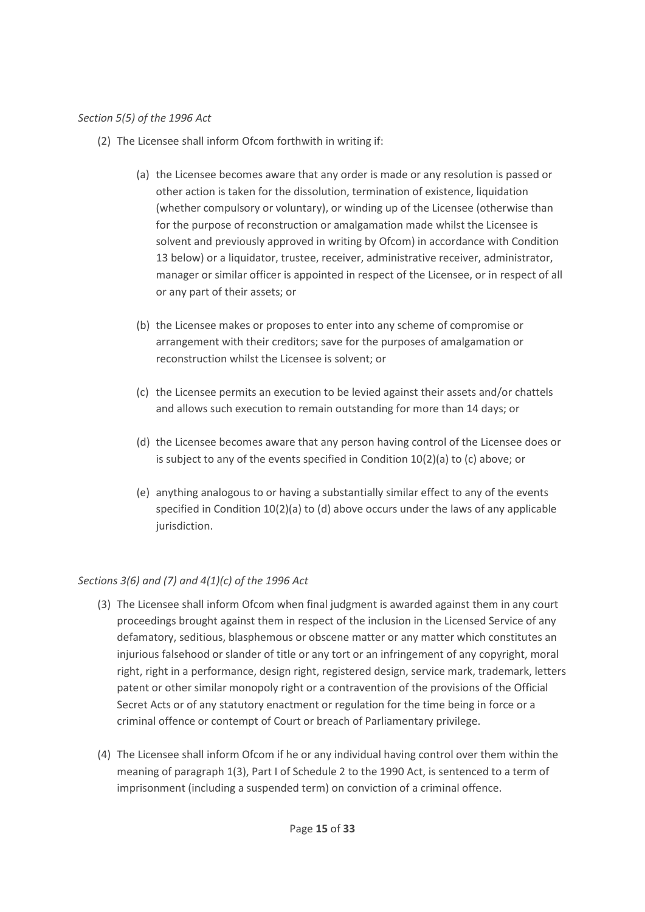### *Section 5(5) of the 1996 Act*

- (2) The Licensee shall inform Ofcom forthwith in writing if:
	- (a) the Licensee becomes aware that any order is made or any resolution is passed or other action is taken for the dissolution, termination of existence, liquidation (whether compulsory or voluntary), or winding up of the Licensee (otherwise than for the purpose of reconstruction or amalgamation made whilst the Licensee is solvent and previously approved in writing by Ofcom) in accordance with Condition 13 below) or a liquidator, trustee, receiver, administrative receiver, administrator, manager or similar officer is appointed in respect of the Licensee, or in respect of all or any part of their assets; or
	- (b) the Licensee makes or proposes to enter into any scheme of compromise or arrangement with their creditors; save for the purposes of amalgamation or reconstruction whilst the Licensee is solvent; or
	- (c) the Licensee permits an execution to be levied against their assets and/or chattels and allows such execution to remain outstanding for more than 14 days; or
	- (d) the Licensee becomes aware that any person having control of the Licensee does or is subject to any of the events specified in Condition 10(2)(a) to (c) above; or
	- (e) anything analogous to or having a substantially similar effect to any of the events specified in Condition  $10(2)(a)$  to (d) above occurs under the laws of any applicable jurisdiction.

# *Sections 3(6) and (7) and 4(1)(c) of the 1996 Act*

- (3) The Licensee shall inform Ofcom when final judgment is awarded against them in any court proceedings brought against them in respect of the inclusion in the Licensed Service of any defamatory, seditious, blasphemous or obscene matter or any matter which constitutes an injurious falsehood or slander of title or any tort or an infringement of any copyright, moral right, right in a performance, design right, registered design, service mark, trademark, letters patent or other similar monopoly right or a contravention of the provisions of the Official Secret Acts or of any statutory enactment or regulation for the time being in force or a criminal offence or contempt of Court or breach of Parliamentary privilege.
- (4) The Licensee shall inform Ofcom if he or any individual having control over them within the meaning of paragraph 1(3), Part I of Schedule 2 to the 1990 Act, is sentenced to a term of imprisonment (including a suspended term) on conviction of a criminal offence.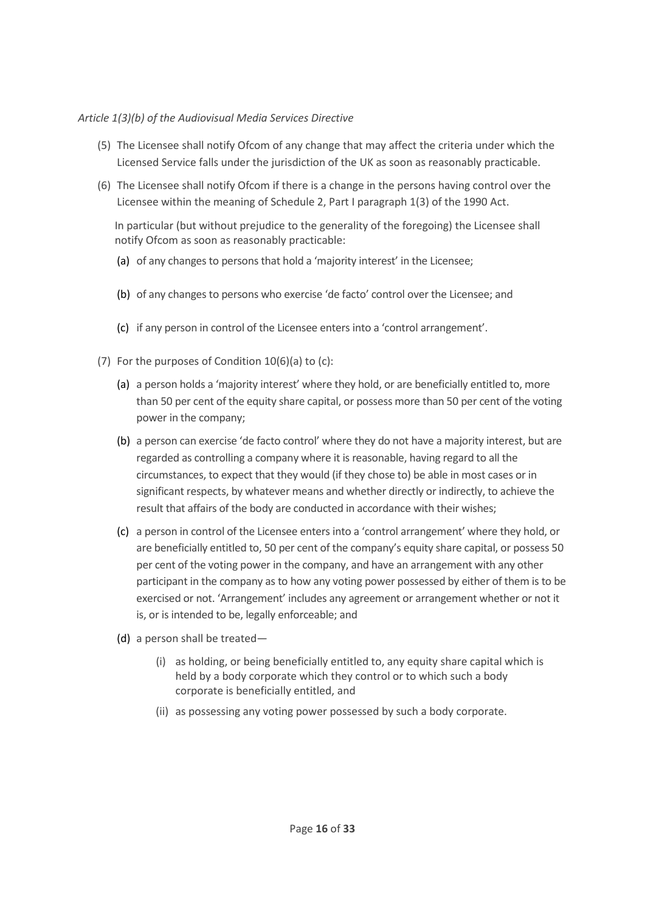### *Article 1(3)(b) of the Audiovisual Media Services Directive*

- (5) The Licensee shall notify Ofcom of any change that may affect the criteria under which the Licensed Service falls under the jurisdiction of the UK as soon as reasonably practicable.
- (6) The Licensee shall notify Ofcom if there is a change in the persons having control over the Licensee within the meaning of Schedule 2, Part I paragraph 1(3) of the 1990 Act.

In particular (but without prejudice to the generality of the foregoing) the Licensee shall notify Ofcom as soon as reasonably practicable:

- (a) of any changes to persons that hold a 'majority interest' in the Licensee;
- (b) of any changes to persons who exercise 'de facto' control over the Licensee; and
- (c) if any person in control of the Licensee enters into a 'control arrangement'.
- (7) For the purposes of Condition 10(6)(a) to (c):
	- (a) a person holds a 'majority interest' where they hold, or are beneficially entitled to, more than 50 per cent of the equity share capital, or possess more than 50 per cent of the voting power in the company;
	- (b) a person can exercise 'de facto control' where they do not have a majority interest, but are regarded as controlling a company where it is reasonable, having regard to all the circumstances, to expect that they would (if they chose to) be able in most cases or in significant respects, by whatever means and whether directly or indirectly, to achieve the result that affairs of the body are conducted in accordance with their wishes;
	- (c) a person in control of the Licensee enters into a 'control arrangement' where they hold, or are beneficially entitled to, 50 per cent of the company's equity share capital, or possess 50 per cent of the voting power in the company, and have an arrangement with any other participant in the company as to how any voting power possessed by either of them is to be exercised or not. 'Arrangement' includes any agreement or arrangement whether or not it is, or is intended to be, legally enforceable; and
	- (d) a person shall be treated—
		- (i) as holding, or being beneficially entitled to, any equity share capital which is held by a body corporate which they control or to which such a body corporate is beneficially entitled, and
		- (ii) as possessing any voting power possessed by such a body corporate.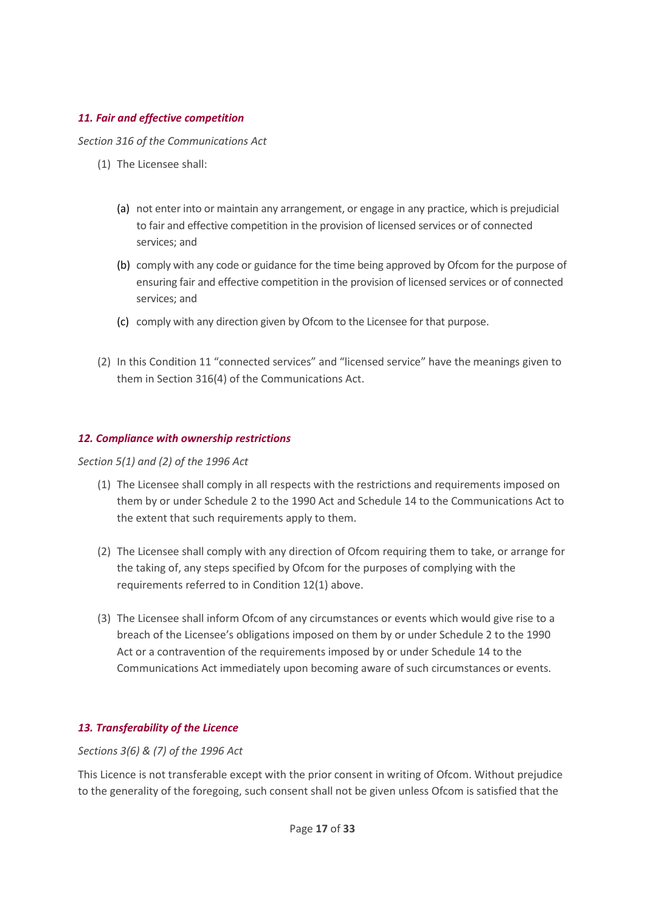## <span id="page-16-0"></span>*11. Fair and effective competition*

*Section 316 of the Communications Act*

- (1) The Licensee shall:
	- (a) not enter into or maintain any arrangement, or engage in any practice, which is prejudicial to fair and effective competition in the provision of licensed services or of connected services; and
	- (b) comply with any code or guidance for the time being approved by Ofcom for the purpose of ensuring fair and effective competition in the provision of licensed services or of connected services; and
	- (c) comply with any direction given by Ofcom to the Licensee for that purpose.
- (2) In this Condition 11 "connected services" and "licensed service" have the meanings given to them in Section 316(4) of the Communications Act.

## <span id="page-16-1"></span>*12. Compliance with ownership restrictions*

*Section 5(1) and (2) of the 1996 Act*

- (1) The Licensee shall comply in all respects with the restrictions and requirements imposed on them by or under Schedule 2 to the 1990 Act and Schedule 14 to the Communications Act to the extent that such requirements apply to them.
- (2) The Licensee shall comply with any direction of Ofcom requiring them to take, or arrange for the taking of, any steps specified by Ofcom for the purposes of complying with the requirements referred to in Condition 12(1) above.
- (3) The Licensee shall inform Ofcom of any circumstances or events which would give rise to a breach of the Licensee's obligations imposed on them by or under Schedule 2 to the 1990 Act or a contravention of the requirements imposed by or under Schedule 14 to the Communications Act immediately upon becoming aware of such circumstances or events.

# <span id="page-16-2"></span>*13. Transferability of the Licence*

*Sections 3(6) & (7) of the 1996 Act*

This Licence is not transferable except with the prior consent in writing of Ofcom. Without prejudice to the generality of the foregoing, such consent shall not be given unless Ofcom is satisfied that the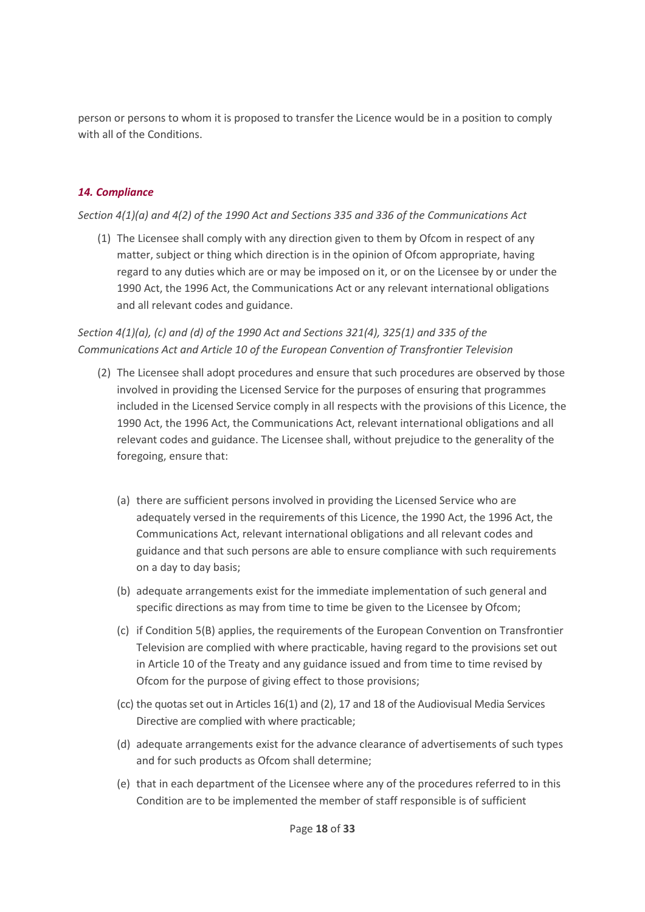person or persons to whom it is proposed to transfer the Licence would be in a position to comply with all of the Conditions.

# <span id="page-17-0"></span>*14. Compliance*

### *Section 4(1)(a) and 4(2) of the 1990 Act and Sections 335 and 336 of the Communications Act*

(1) The Licensee shall comply with any direction given to them by Ofcom in respect of any matter, subject or thing which direction is in the opinion of Ofcom appropriate, having regard to any duties which are or may be imposed on it, or on the Licensee by or under the 1990 Act, the 1996 Act, the Communications Act or any relevant international obligations and all relevant codes and guidance.

# *Section 4(1)(a), (c) and (d) of the 1990 Act and Sections 321(4), 325(1) and 335 of the Communications Act and Article 10 of the European Convention of Transfrontier Television*

- (2) The Licensee shall adopt procedures and ensure that such procedures are observed by those involved in providing the Licensed Service for the purposes of ensuring that programmes included in the Licensed Service comply in all respects with the provisions of this Licence, the 1990 Act, the 1996 Act, the Communications Act, relevant international obligations and all relevant codes and guidance. The Licensee shall, without prejudice to the generality of the foregoing, ensure that:
	- (a) there are sufficient persons involved in providing the Licensed Service who are adequately versed in the requirements of this Licence, the 1990 Act, the 1996 Act, the Communications Act, relevant international obligations and all relevant codes and guidance and that such persons are able to ensure compliance with such requirements on a day to day basis;
	- (b) adequate arrangements exist for the immediate implementation of such general and specific directions as may from time to time be given to the Licensee by Ofcom;
	- (c) if Condition 5(B) applies, the requirements of the European Convention on Transfrontier Television are complied with where practicable, having regard to the provisions set out in Article 10 of the Treaty and any guidance issued and from time to time revised by Ofcom for the purpose of giving effect to those provisions;
	- (cc) the quotas set out in Articles 16(1) and (2), 17 and 18 of the Audiovisual Media Services Directive are complied with where practicable;
	- (d) adequate arrangements exist for the advance clearance of advertisements of such types and for such products as Ofcom shall determine;
	- (e) that in each department of the Licensee where any of the procedures referred to in this Condition are to be implemented the member of staff responsible is of sufficient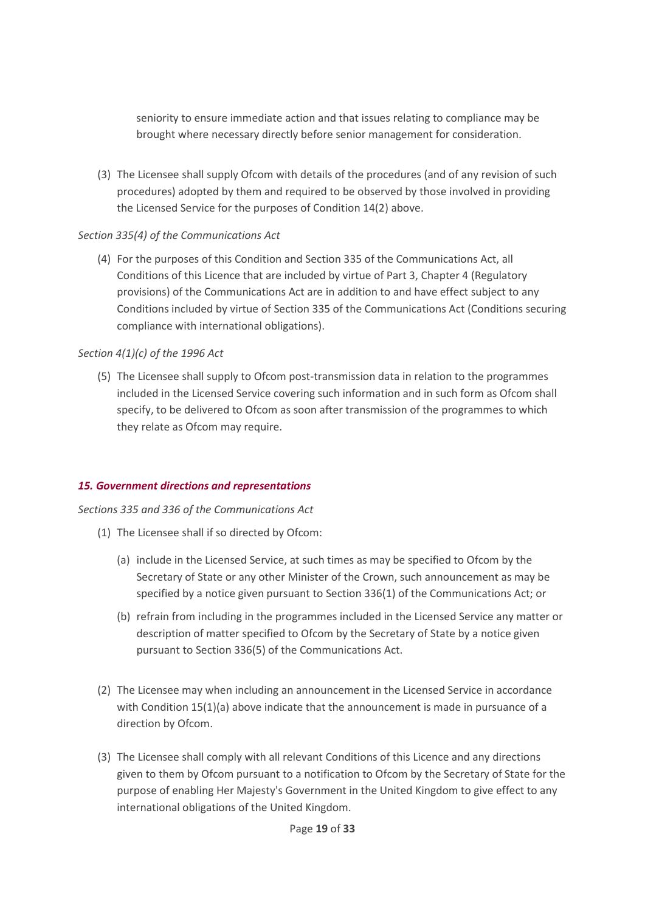seniority to ensure immediate action and that issues relating to compliance may be brought where necessary directly before senior management for consideration.

(3) The Licensee shall supply Ofcom with details of the procedures (and of any revision of such procedures) adopted by them and required to be observed by those involved in providing the Licensed Service for the purposes of Condition 14(2) above.

## *Section 335(4) of the Communications Act*

(4) For the purposes of this Condition and Section 335 of the Communications Act, all Conditions of this Licence that are included by virtue of Part 3, Chapter 4 (Regulatory provisions) of the Communications Act are in addition to and have effect subject to any Conditions included by virtue of Section 335 of the Communications Act (Conditions securing compliance with international obligations).

# *Section 4(1)(c) of the 1996 Act*

(5) The Licensee shall supply to Ofcom post-transmission data in relation to the programmes included in the Licensed Service covering such information and in such form as Ofcom shall specify, to be delivered to Ofcom as soon after transmission of the programmes to which they relate as Ofcom may require.

# <span id="page-18-0"></span>*15. Government directions and representations*

### *Sections 335 and 336 of the Communications Act*

- (1) The Licensee shall if so directed by Ofcom:
	- (a) include in the Licensed Service, at such times as may be specified to Ofcom by the Secretary of State or any other Minister of the Crown, such announcement as may be specified by a notice given pursuant to Section 336(1) of the Communications Act; or
	- (b) refrain from including in the programmes included in the Licensed Service any matter or description of matter specified to Ofcom by the Secretary of State by a notice given pursuant to Section 336(5) of the Communications Act.
- (2) The Licensee may when including an announcement in the Licensed Service in accordance with Condition 15(1)(a) above indicate that the announcement is made in pursuance of a direction by Ofcom.
- (3) The Licensee shall comply with all relevant Conditions of this Licence and any directions given to them by Ofcom pursuant to a notification to Ofcom by the Secretary of State for the purpose of enabling Her Majesty's Government in the United Kingdom to give effect to any international obligations of the United Kingdom.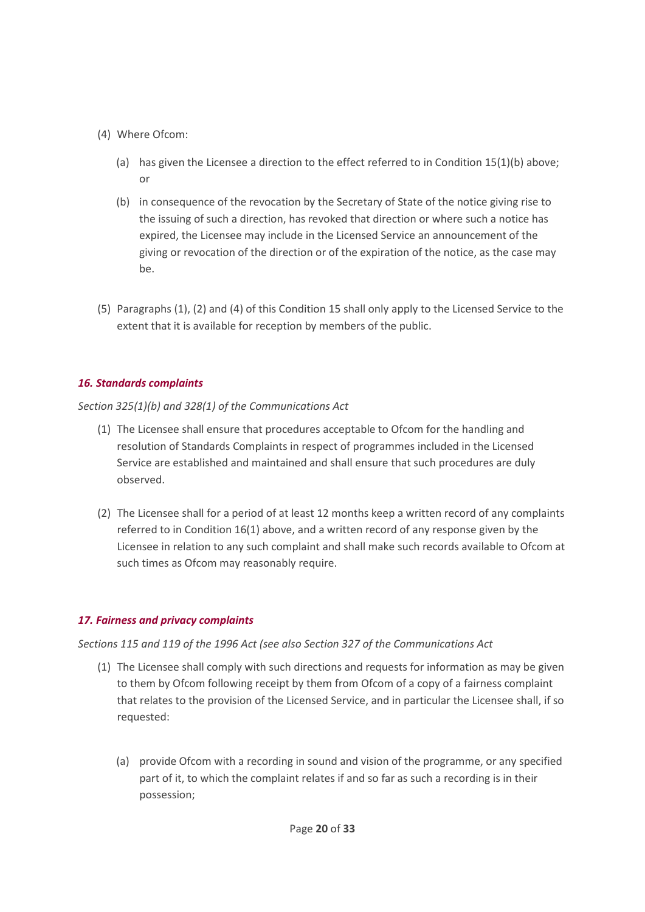- (4) Where Ofcom:
	- (a) has given the Licensee a direction to the effect referred to in Condition 15(1)(b) above; or
	- (b) in consequence of the revocation by the Secretary of State of the notice giving rise to the issuing of such a direction, has revoked that direction or where such a notice has expired, the Licensee may include in the Licensed Service an announcement of the giving or revocation of the direction or of the expiration of the notice, as the case may be.
- (5) Paragraphs (1), (2) and (4) of this Condition 15 shall only apply to the Licensed Service to the extent that it is available for reception by members of the public.

# <span id="page-19-0"></span>*16. Standards complaints*

*Section 325(1)(b) and 328(1) of the Communications Act*

- (1) The Licensee shall ensure that procedures acceptable to Ofcom for the handling and resolution of Standards Complaints in respect of programmes included in the Licensed Service are established and maintained and shall ensure that such procedures are duly observed.
- (2) The Licensee shall for a period of at least 12 months keep a written record of any complaints referred to in Condition 16(1) above, and a written record of any response given by the Licensee in relation to any such complaint and shall make such records available to Ofcom at such times as Ofcom may reasonably require.

# <span id="page-19-1"></span>*17. Fairness and privacy complaints*

*Sections 115 and 119 of the 1996 Act (see also Section 327 of the Communications Act*

- (1) The Licensee shall comply with such directions and requests for information as may be given to them by Ofcom following receipt by them from Ofcom of a copy of a fairness complaint that relates to the provision of the Licensed Service, and in particular the Licensee shall, if so requested:
	- (a) provide Ofcom with a recording in sound and vision of the programme, or any specified part of it, to which the complaint relates if and so far as such a recording is in their possession;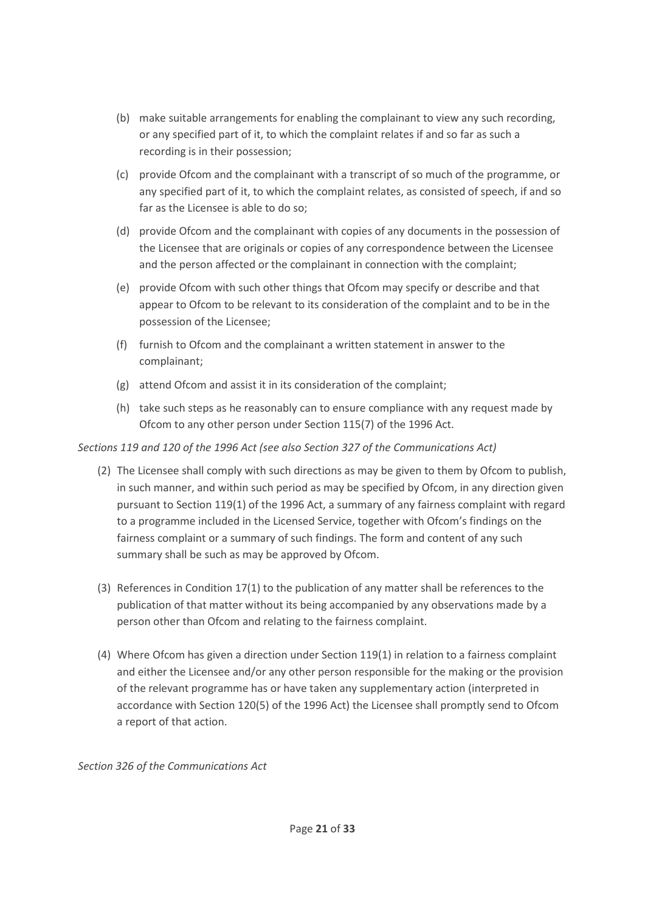- (b) make suitable arrangements for enabling the complainant to view any such recording, or any specified part of it, to which the complaint relates if and so far as such a recording is in their possession;
- (c) provide Ofcom and the complainant with a transcript of so much of the programme, or any specified part of it, to which the complaint relates, as consisted of speech, if and so far as the Licensee is able to do so;
- (d) provide Ofcom and the complainant with copies of any documents in the possession of the Licensee that are originals or copies of any correspondence between the Licensee and the person affected or the complainant in connection with the complaint;
- (e) provide Ofcom with such other things that Ofcom may specify or describe and that appear to Ofcom to be relevant to its consideration of the complaint and to be in the possession of the Licensee;
- (f) furnish to Ofcom and the complainant a written statement in answer to the complainant;
- (g) attend Ofcom and assist it in its consideration of the complaint;
- (h) take such steps as he reasonably can to ensure compliance with any request made by Ofcom to any other person under Section 115(7) of the 1996 Act.

# *Sections 119 and 120 of the 1996 Act (see also Section 327 of the Communications Act)*

- (2) The Licensee shall comply with such directions as may be given to them by Ofcom to publish, in such manner, and within such period as may be specified by Ofcom, in any direction given pursuant to Section 119(1) of the 1996 Act, a summary of any fairness complaint with regard to a programme included in the Licensed Service, together with Ofcom's findings on the fairness complaint or a summary of such findings. The form and content of any such summary shall be such as may be approved by Ofcom.
- (3) References in Condition 17(1) to the publication of any matter shall be references to the publication of that matter without its being accompanied by any observations made by a person other than Ofcom and relating to the fairness complaint.
- (4) Where Ofcom has given a direction under Section 119(1) in relation to a fairness complaint and either the Licensee and/or any other person responsible for the making or the provision of the relevant programme has or have taken any supplementary action (interpreted in accordance with Section 120(5) of the 1996 Act) the Licensee shall promptly send to Ofcom a report of that action.

*Section 326 of the Communications Act*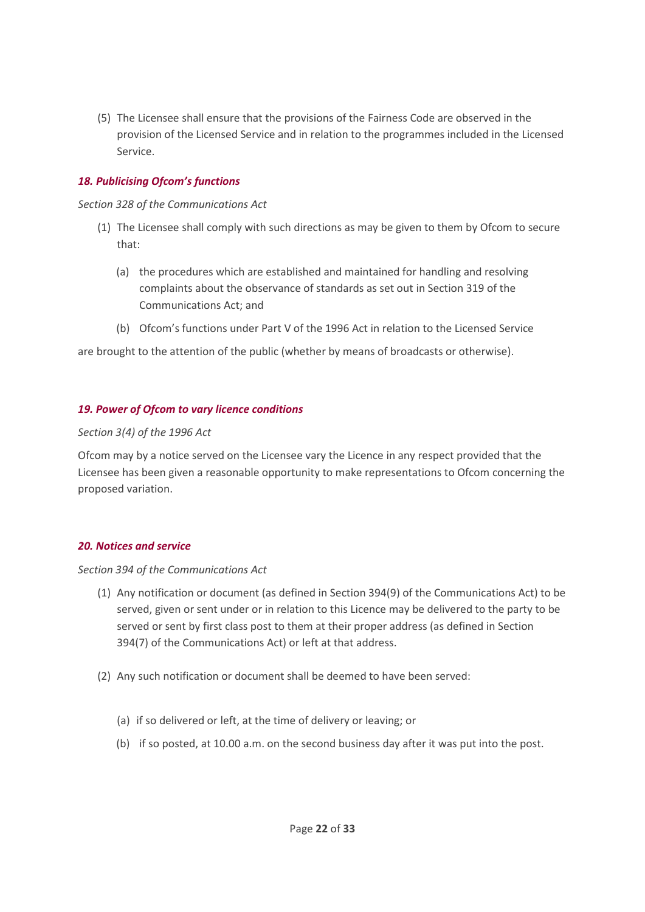(5) The Licensee shall ensure that the provisions of the Fairness Code are observed in the provision of the Licensed Service and in relation to the programmes included in the Licensed Service.

### <span id="page-21-0"></span>*18. Publicising Ofcom's functions*

*Section 328 of the Communications Act*

- (1) The Licensee shall comply with such directions as may be given to them by Ofcom to secure that:
	- (a) the procedures which are established and maintained for handling and resolving complaints about the observance of standards as set out in Section 319 of the Communications Act; and
	- (b) Ofcom's functions under Part V of the 1996 Act in relation to the Licensed Service

are brought to the attention of the public (whether by means of broadcasts or otherwise).

#### <span id="page-21-1"></span>*19. Power of Ofcom to vary licence conditions*

#### *Section 3(4) of the 1996 Act*

Ofcom may by a notice served on the Licensee vary the Licence in any respect provided that the Licensee has been given a reasonable opportunity to make representations to Ofcom concerning the proposed variation.

### <span id="page-21-2"></span>*20. Notices and service*

#### *Section 394 of the Communications Act*

- (1) Any notification or document (as defined in Section 394(9) of the Communications Act) to be served, given or sent under or in relation to this Licence may be delivered to the party to be served or sent by first class post to them at their proper address (as defined in Section 394(7) of the Communications Act) or left at that address.
- (2) Any such notification or document shall be deemed to have been served:
	- (a) if so delivered or left, at the time of delivery or leaving; or
	- (b) if so posted, at 10.00 a.m. on the second business day after it was put into the post.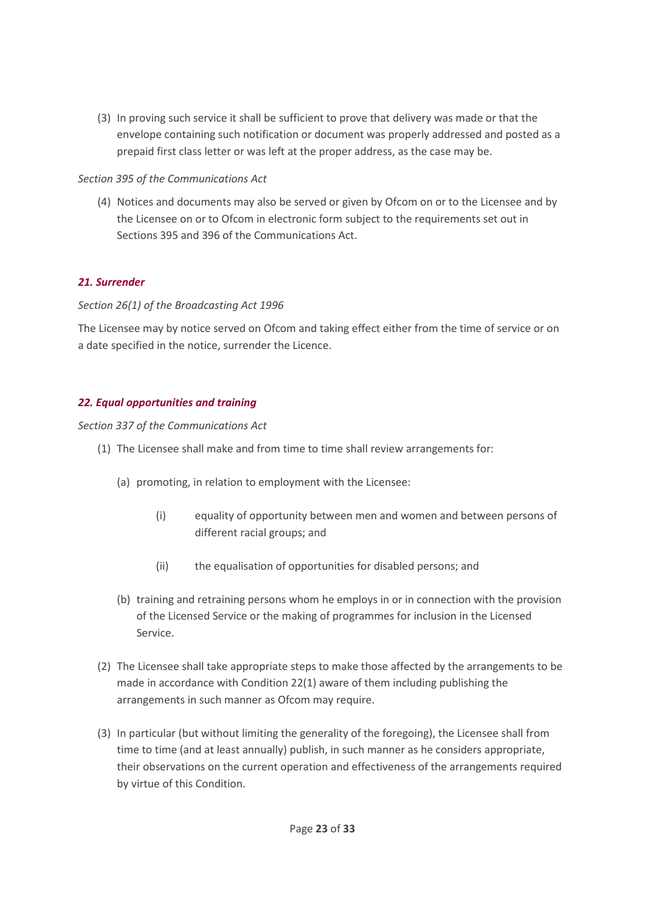(3) In proving such service it shall be sufficient to prove that delivery was made or that the envelope containing such notification or document was properly addressed and posted as a prepaid first class letter or was left at the proper address, as the case may be.

## *Section 395 of the Communications Act*

(4) Notices and documents may also be served or given by Ofcom on or to the Licensee and by the Licensee on or to Ofcom in electronic form subject to the requirements set out in Sections 395 and 396 of the Communications Act.

## <span id="page-22-0"></span>*21. Surrender*

## *Section 26(1) of the Broadcasting Act 1996*

The Licensee may by notice served on Ofcom and taking effect either from the time of service or on a date specified in the notice, surrender the Licence.

## <span id="page-22-1"></span>*22. Equal opportunities and training*

### *Section 337 of the Communications Act*

- (1) The Licensee shall make and from time to time shall review arrangements for:
	- (a) promoting, in relation to employment with the Licensee:
		- (i) equality of opportunity between men and women and between persons of different racial groups; and
		- (ii) the equalisation of opportunities for disabled persons; and
	- (b) training and retraining persons whom he employs in or in connection with the provision of the Licensed Service or the making of programmes for inclusion in the Licensed Service.
- (2) The Licensee shall take appropriate steps to make those affected by the arrangements to be made in accordance with Condition 22(1) aware of them including publishing the arrangements in such manner as Ofcom may require.
- (3) In particular (but without limiting the generality of the foregoing), the Licensee shall from time to time (and at least annually) publish, in such manner as he considers appropriate, their observations on the current operation and effectiveness of the arrangements required by virtue of this Condition.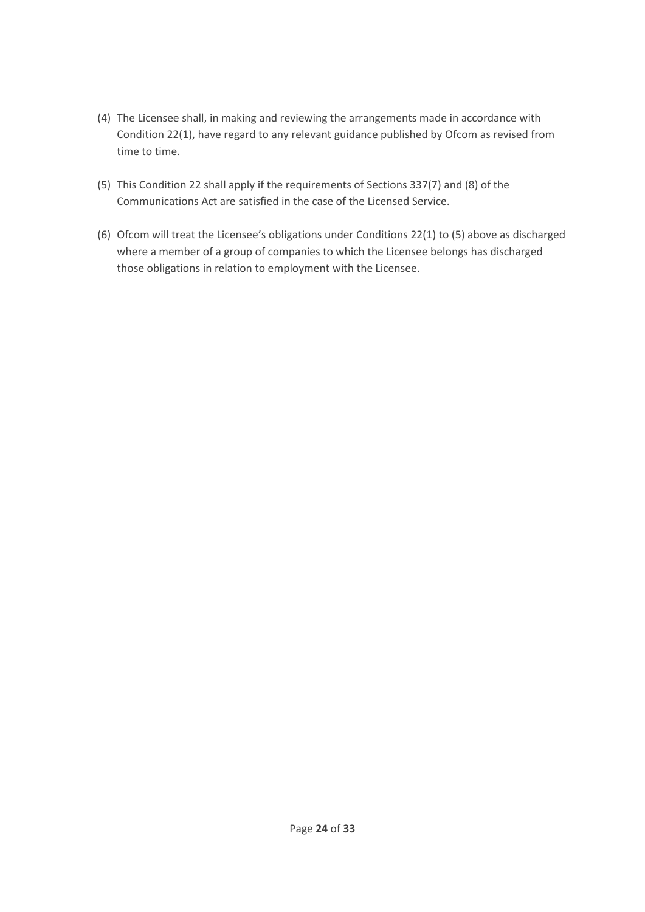- (4) The Licensee shall, in making and reviewing the arrangements made in accordance with Condition 22(1), have regard to any relevant guidance published by Ofcom as revised from time to time.
- (5) This Condition 22 shall apply if the requirements of Sections 337(7) and (8) of the Communications Act are satisfied in the case of the Licensed Service.
- (6) Ofcom will treat the Licensee's obligations under Conditions 22(1) to (5) above as discharged where a member of a group of companies to which the Licensee belongs has discharged those obligations in relation to employment with the Licensee.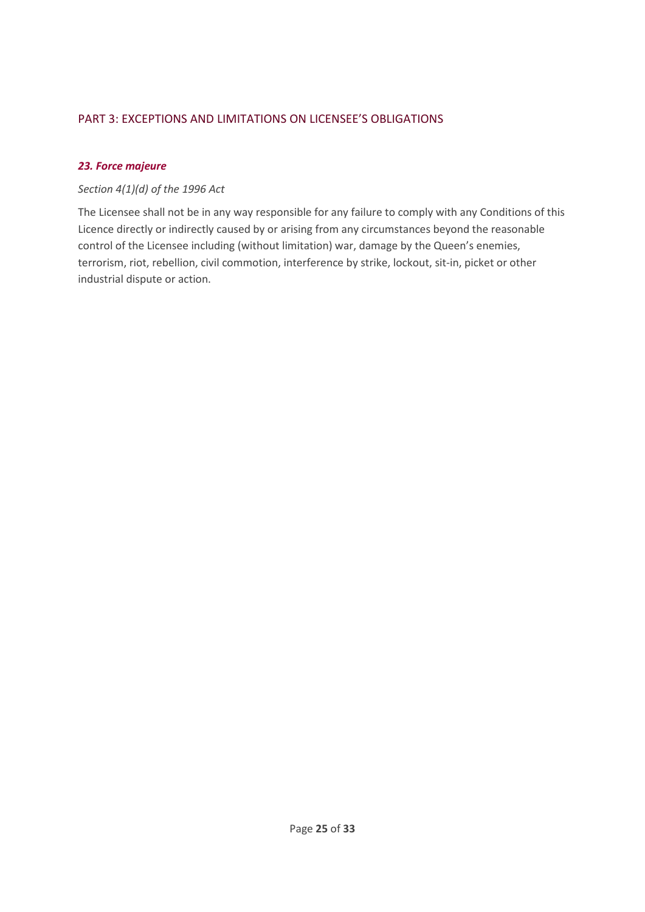# <span id="page-24-0"></span>PART 3: EXCEPTIONS AND LIMITATIONS ON LICENSEE'S OBLIGATIONS

## <span id="page-24-1"></span>*23. Force majeure*

## *Section 4(1)(d) of the 1996 Act*

The Licensee shall not be in any way responsible for any failure to comply with any Conditions of this Licence directly or indirectly caused by or arising from any circumstances beyond the reasonable control of the Licensee including (without limitation) war, damage by the Queen's enemies, terrorism, riot, rebellion, civil commotion, interference by strike, lockout, sit-in, picket or other industrial dispute or action.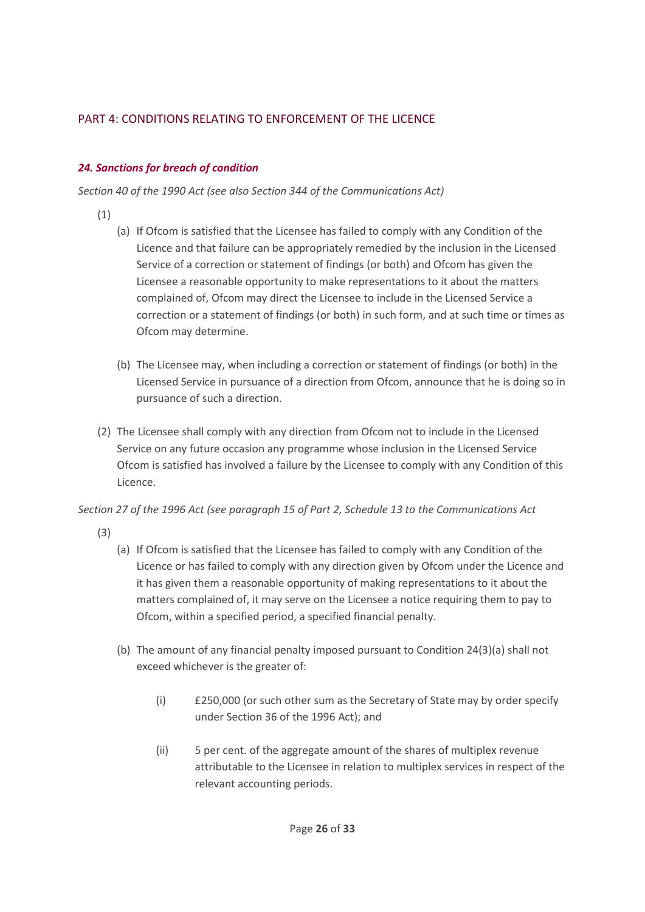# PART 4: CONDITIONS RELATING TO ENFORCEMENT OF THE LICENCE

# <span id="page-25-0"></span>*24. Sanctions for breach of condition*

*Section 40 of the 1990 Act (see also Section 344 of the Communications Act)*

- (1)
- (a) If Ofcom is satisfied that the Licensee has failed to comply with any Condition of the Licence and that failure can be appropriately remedied by the inclusion in the Licensed Service of a correction or statement of findings (or both) and Ofcom has given the Licensee a reasonable opportunity to make representations to it about the matters complained of, Ofcom may direct the Licensee to include in the Licensed Service a correction or a statement of findings (or both) in such form, and at such time or times as Ofcom may determine.
- (b) The Licensee may, when including a correction or statement of findings (or both) in the Licensed Service in pursuance of a direction from Ofcom, announce that he is doing so in pursuance of such a direction.
- (2) The Licensee shall comply with any direction from Ofcom not to include in the Licensed Service on any future occasion any programme whose inclusion in the Licensed Service Ofcom is satisfied has involved a failure by the Licensee to comply with any Condition of this Licence.

*Section 27 of the 1996 Act (see paragraph 15 of Part 2, Schedule 13 to the Communications Act*

- (3)
- (a) If Ofcom is satisfied that the Licensee has failed to comply with any Condition of the Licence or has failed to comply with any direction given by Ofcom under the Licence and it has given them a reasonable opportunity of making representations to it about the matters complained of, it may serve on the Licensee a notice requiring them to pay to Ofcom, within a specified period, a specified financial penalty.
- (b) The amount of any financial penalty imposed pursuant to Condition 24(3)(a) shall not exceed whichever is the greater of:
	- (i) £250,000 (or such other sum as the Secretary of State may by order specify under Section 36 of the 1996 Act); and
	- (ii) 5 per cent. of the aggregate amount of the shares of multiplex revenue attributable to the Licensee in relation to multiplex services in respect of the relevant accounting periods.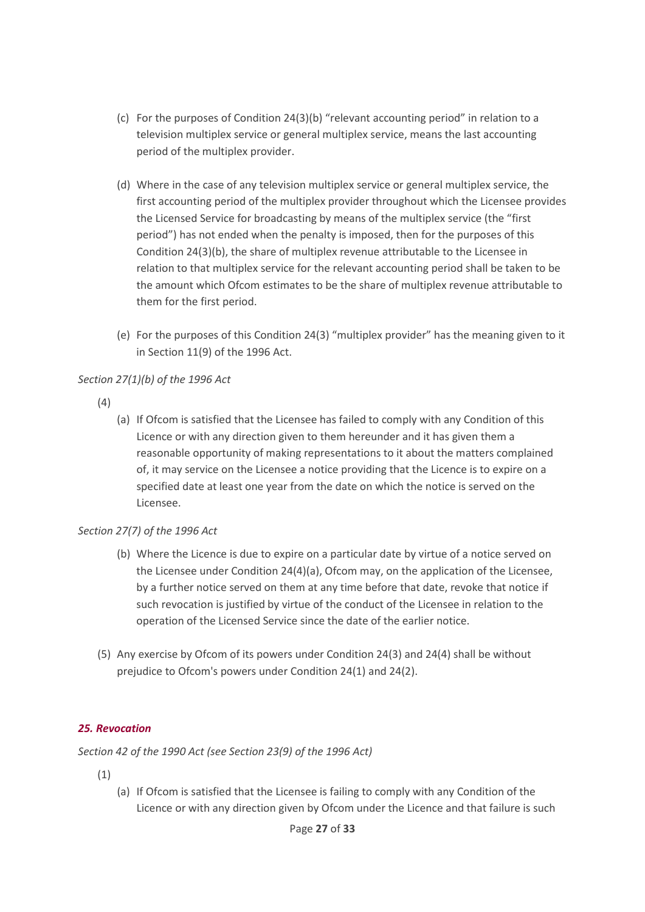- (c) For the purposes of Condition 24(3)(b) "relevant accounting period" in relation to a television multiplex service or general multiplex service, means the last accounting period of the multiplex provider.
- (d) Where in the case of any television multiplex service or general multiplex service, the first accounting period of the multiplex provider throughout which the Licensee provides the Licensed Service for broadcasting by means of the multiplex service (the "first period") has not ended when the penalty is imposed, then for the purposes of this Condition 24(3)(b), the share of multiplex revenue attributable to the Licensee in relation to that multiplex service for the relevant accounting period shall be taken to be the amount which Ofcom estimates to be the share of multiplex revenue attributable to them for the first period.
- (e) For the purposes of this Condition 24(3) "multiplex provider" has the meaning given to it in Section 11(9) of the 1996 Act.

# *Section 27(1)(b) of the 1996 Act*

- (4)
- (a) If Ofcom is satisfied that the Licensee has failed to comply with any Condition of this Licence or with any direction given to them hereunder and it has given them a reasonable opportunity of making representations to it about the matters complained of, it may service on the Licensee a notice providing that the Licence is to expire on a specified date at least one year from the date on which the notice is served on the Licensee.

### *Section 27(7) of the 1996 Act*

- (b) Where the Licence is due to expire on a particular date by virtue of a notice served on the Licensee under Condition 24(4)(a), Ofcom may, on the application of the Licensee, by a further notice served on them at any time before that date, revoke that notice if such revocation is justified by virtue of the conduct of the Licensee in relation to the operation of the Licensed Service since the date of the earlier notice.
- (5) Any exercise by Ofcom of its powers under Condition 24(3) and 24(4) shall be without prejudice to Ofcom's powers under Condition 24(1) and 24(2).

# <span id="page-26-0"></span>*25. Revocation*

*Section 42 of the 1990 Act (see Section 23(9) of the 1996 Act)*

- (1)
- (a) If Ofcom is satisfied that the Licensee is failing to comply with any Condition of the Licence or with any direction given by Ofcom under the Licence and that failure is such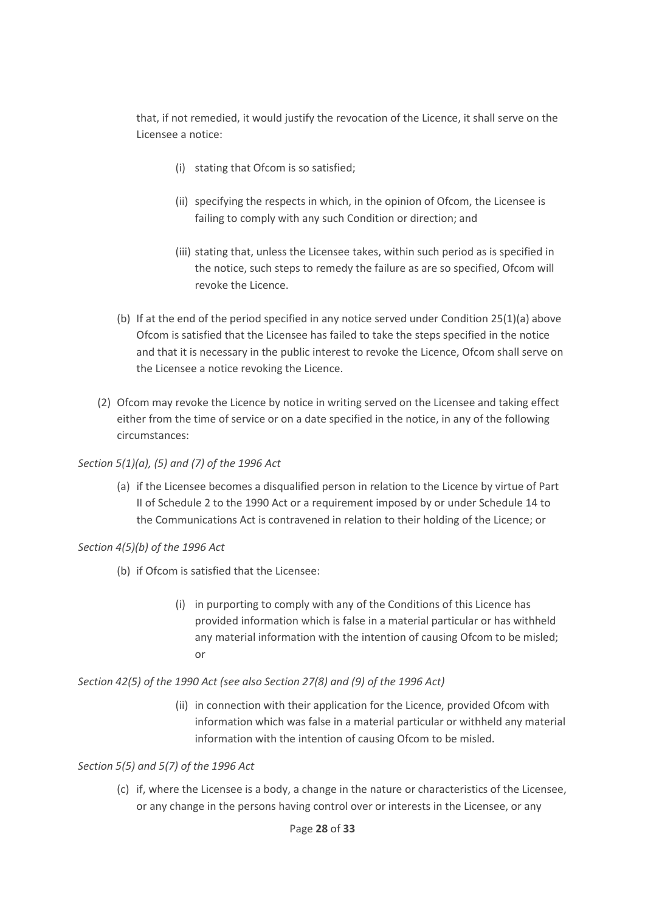that, if not remedied, it would justify the revocation of the Licence, it shall serve on the Licensee a notice:

- (i) stating that Ofcom is so satisfied;
- (ii) specifying the respects in which, in the opinion of Ofcom, the Licensee is failing to comply with any such Condition or direction; and
- (iii) stating that, unless the Licensee takes, within such period as is specified in the notice, such steps to remedy the failure as are so specified, Ofcom will revoke the Licence.
- (b) If at the end of the period specified in any notice served under Condition 25(1)(a) above Ofcom is satisfied that the Licensee has failed to take the steps specified in the notice and that it is necessary in the public interest to revoke the Licence, Ofcom shall serve on the Licensee a notice revoking the Licence.
- (2) Ofcom may revoke the Licence by notice in writing served on the Licensee and taking effect either from the time of service or on a date specified in the notice, in any of the following circumstances:

# *Section 5(1)(a), (5) and (7) of the 1996 Act*

(a) if the Licensee becomes a disqualified person in relation to the Licence by virtue of Part II of Schedule 2 to the 1990 Act or a requirement imposed by or under Schedule 14 to the Communications Act is contravened in relation to their holding of the Licence; or

# *Section 4(5)(b) of the 1996 Act*

- (b) if Ofcom is satisfied that the Licensee:
	- (i) in purporting to comply with any of the Conditions of this Licence has provided information which is false in a material particular or has withheld any material information with the intention of causing Ofcom to be misled; or

### *Section 42(5) of the 1990 Act (see also Section 27(8) and (9) of the 1996 Act)*

(ii) in connection with their application for the Licence, provided Ofcom with information which was false in a material particular or withheld any material information with the intention of causing Ofcom to be misled.

### *Section 5(5) and 5(7) of the 1996 Act*

(c) if, where the Licensee is a body, a change in the nature or characteristics of the Licensee, or any change in the persons having control over or interests in the Licensee, or any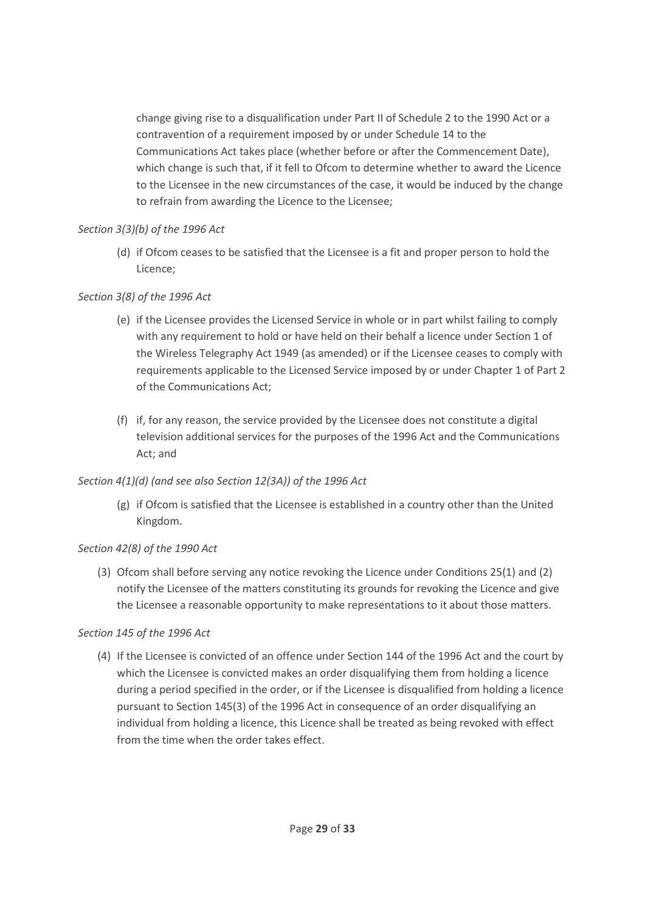change giving rise to a disqualification under Part II of Schedule 2 to the 1990 Act or a contravention of a requirement imposed by or under Schedule 14 to the Communications Act takes place (whether before or after the Commencement Date), which change is such that, if it fell to Ofcom to determine whether to award the Licence to the Licensee in the new circumstances of the case, it would be induced by the change to refrain from awarding the Licence to the Licensee;

## *Section 3(3)(b) of the 1996 Act*

(d) if Ofcom ceases to be satisfied that the Licensee is a fit and proper person to hold the Licence;

# *Section 3(8) of the 1996 Act*

- (e) if the Licensee provides the Licensed Service in whole or in part whilst failing to comply with any requirement to hold or have held on their behalf a licence under Section 1 of the Wireless Telegraphy Act 1949 (as amended) or if the Licensee ceases to comply with requirements applicable to the Licensed Service imposed by or under Chapter 1 of Part 2 of the Communications Act;
- (f) if, for any reason, the service provided by the Licensee does not constitute a digital television additional services for the purposes of the 1996 Act and the Communications Act; and

# *Section 4(1)(d) (and see also Section 12(3A)) of the 1996 Act*

(g) if Ofcom is satisfied that the Licensee is established in a country other than the United Kingdom.

# *Section 42(8) of the 1990 Act*

(3) Ofcom shall before serving any notice revoking the Licence under Conditions 25(1) and (2) notify the Licensee of the matters constituting its grounds for revoking the Licence and give the Licensee a reasonable opportunity to make representations to it about those matters.

# *Section 145 of the 1996 Act*

(4) If the Licensee is convicted of an offence under Section 144 of the 1996 Act and the court by which the Licensee is convicted makes an order disqualifying them from holding a licence during a period specified in the order, or if the Licensee is disqualified from holding a licence pursuant to Section 145(3) of the 1996 Act in consequence of an order disqualifying an individual from holding a licence, this Licence shall be treated as being revoked with effect from the time when the order takes effect.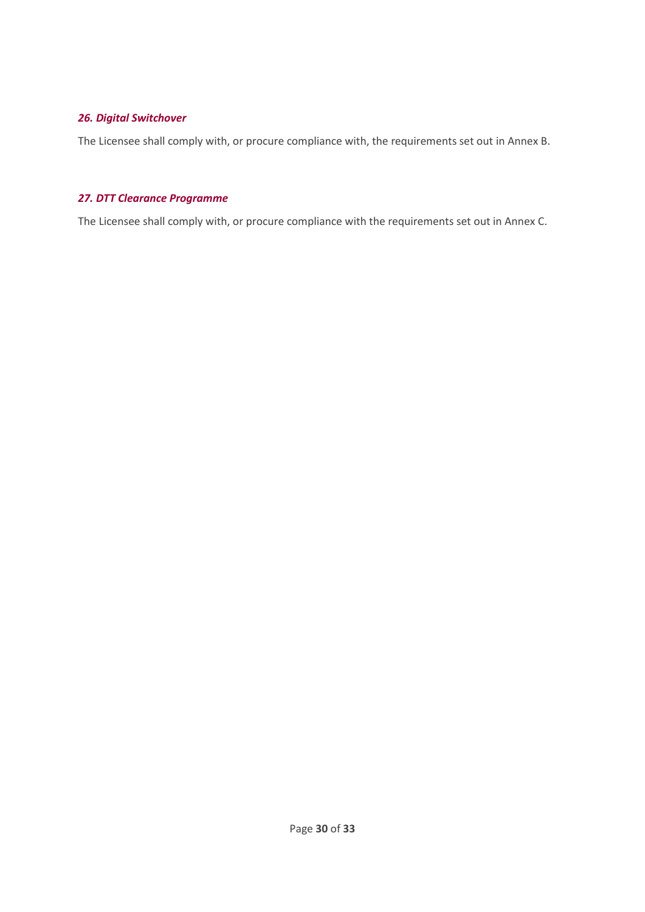# <span id="page-29-0"></span>*26. Digital Switchover*

The Licensee shall comply with, or procure compliance with, the requirements set out in Annex B.

### <span id="page-29-1"></span>*27. DTT Clearance Programme*

The Licensee shall comply with, or procure compliance with the requirements set out in Annex C.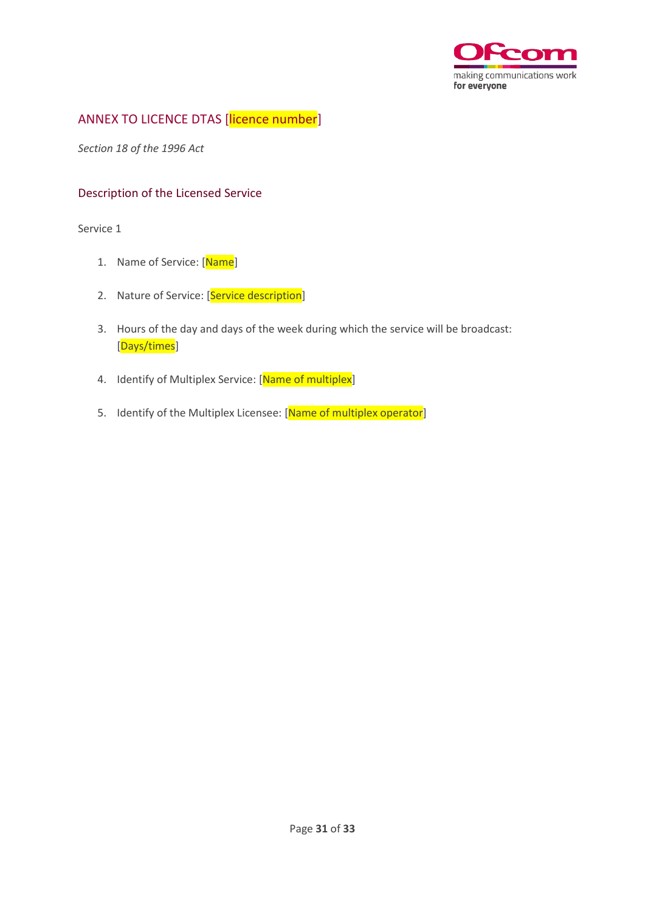

# <span id="page-30-0"></span>ANNEX TO LICENCE DTAS [licence number]

*Section 18 of the 1996 Act*

# <span id="page-30-1"></span>Description of the Licensed Service

Service 1

- 1. Name of Service: [Name]
- 2. Nature of Service: [Service description]
- 3. Hours of the day and days of the week during which the service will be broadcast: [Days/times]
- 4. Identify of Multiplex Service: [Name of multiplex]
- 5. Identify of the Multiplex Licensee: [Name of multiplex operator]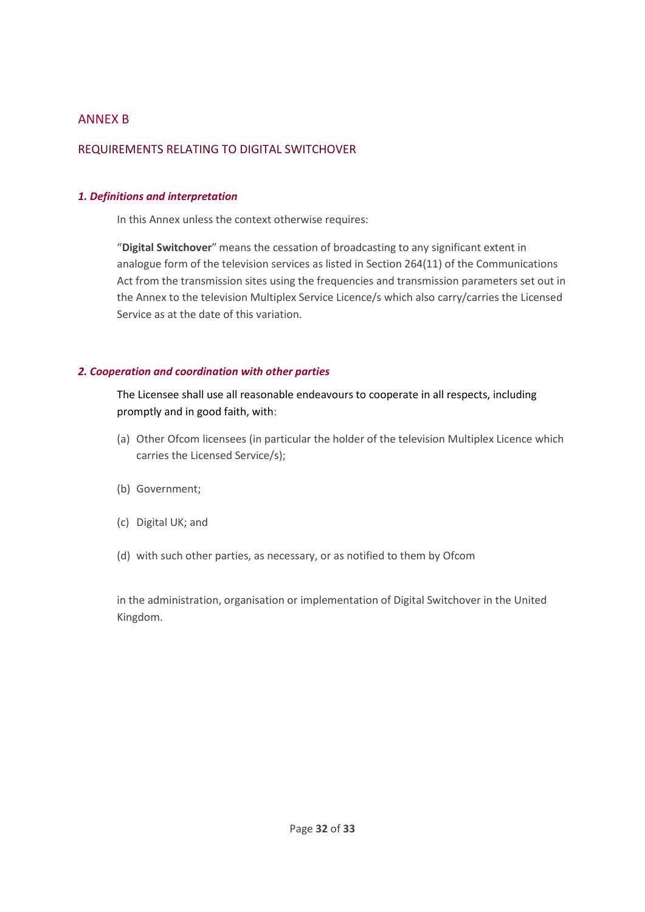# <span id="page-31-0"></span>ANNEX B

### <span id="page-31-1"></span>REQUIREMENTS RELATING TO DIGITAL SWITCHOVER

#### <span id="page-31-2"></span>*1. Definitions and interpretation*

In this Annex unless the context otherwise requires:

"**Digital Switchover**" means the cessation of broadcasting to any significant extent in analogue form of the television services as listed in Section 264(11) of the Communications Act from the transmission sites using the frequencies and transmission parameters set out in the Annex to the television Multiplex Service Licence/s which also carry/carries the Licensed Service as at the date of this variation.

#### <span id="page-31-3"></span>*2. Cooperation and coordination with other parties*

The Licensee shall use all reasonable endeavours to cooperate in all respects, including promptly and in good faith, with:

- (a) Other Ofcom licensees (in particular the holder of the television Multiplex Licence which carries the Licensed Service/s);
- (b) Government;
- (c) Digital UK; and
- (d) with such other parties, as necessary, or as notified to them by Ofcom

in the administration, organisation or implementation of Digital Switchover in the United Kingdom.